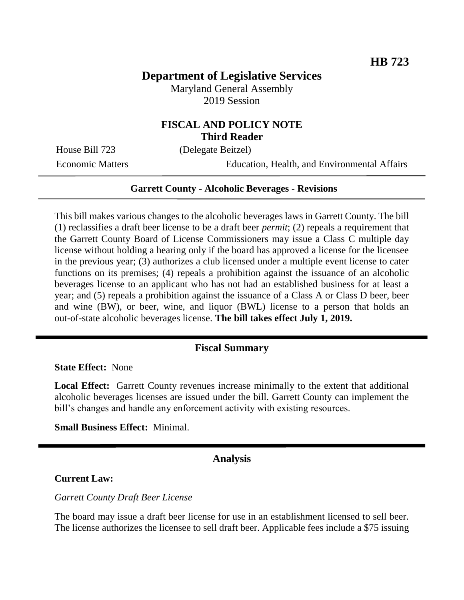# **Department of Legislative Services**

Maryland General Assembly 2019 Session

### **FISCAL AND POLICY NOTE Third Reader**

House Bill 723 (Delegate Beitzel)

Economic Matters Education, Health, and Environmental Affairs

#### **Garrett County - Alcoholic Beverages - Revisions**

This bill makes various changes to the alcoholic beverages laws in Garrett County. The bill (1) reclassifies a draft beer license to be a draft beer *permit*; (2) repeals a requirement that the Garrett County Board of License Commissioners may issue a Class C multiple day license without holding a hearing only if the board has approved a license for the licensee in the previous year; (3) authorizes a club licensed under a multiple event license to cater functions on its premises; (4) repeals a prohibition against the issuance of an alcoholic beverages license to an applicant who has not had an established business for at least a year; and (5) repeals a prohibition against the issuance of a Class A or Class D beer, beer and wine (BW), or beer, wine, and liquor (BWL) license to a person that holds an out-of-state alcoholic beverages license. **The bill takes effect July 1, 2019.** 

#### **Fiscal Summary**

**State Effect:** None

**Local Effect:** Garrett County revenues increase minimally to the extent that additional alcoholic beverages licenses are issued under the bill. Garrett County can implement the bill's changes and handle any enforcement activity with existing resources.

**Small Business Effect:** Minimal.

### **Analysis**

#### **Current Law:**

*Garrett County Draft Beer License* 

The board may issue a draft beer license for use in an establishment licensed to sell beer. The license authorizes the licensee to sell draft beer. Applicable fees include a \$75 issuing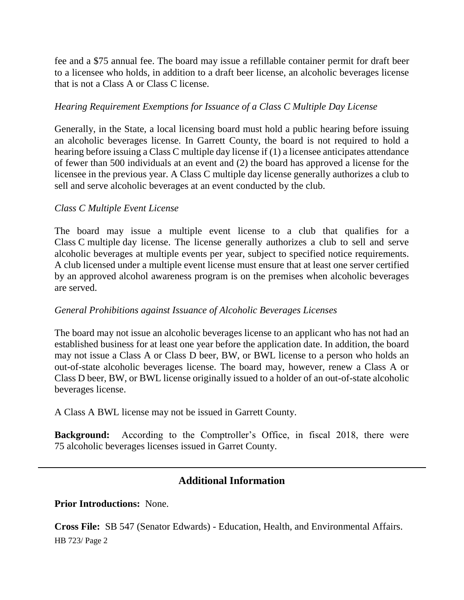fee and a \$75 annual fee. The board may issue a refillable container permit for draft beer to a licensee who holds, in addition to a draft beer license, an alcoholic beverages license that is not a Class A or Class C license.

### *Hearing Requirement Exemptions for Issuance of a Class C Multiple Day License*

Generally, in the State, a local licensing board must hold a public hearing before issuing an alcoholic beverages license. In Garrett County, the board is not required to hold a hearing before issuing a Class C multiple day license if (1) a licensee anticipates attendance of fewer than 500 individuals at an event and (2) the board has approved a license for the licensee in the previous year. A Class C multiple day license generally authorizes a club to sell and serve alcoholic beverages at an event conducted by the club.

### *Class C Multiple Event License*

The board may issue a multiple event license to a club that qualifies for a Class C multiple day license. The license generally authorizes a club to sell and serve alcoholic beverages at multiple events per year, subject to specified notice requirements. A club licensed under a multiple event license must ensure that at least one server certified by an approved alcohol awareness program is on the premises when alcoholic beverages are served.

### *General Prohibitions against Issuance of Alcoholic Beverages Licenses*

The board may not issue an alcoholic beverages license to an applicant who has not had an established business for at least one year before the application date. In addition, the board may not issue a Class A or Class D beer, BW, or BWL license to a person who holds an out-of-state alcoholic beverages license. The board may, however, renew a Class A or Class D beer, BW, or BWL license originally issued to a holder of an out-of-state alcoholic beverages license.

A Class A BWL license may not be issued in Garrett County.

**Background:** According to the Comptroller's Office, in fiscal 2018, there were 75 alcoholic beverages licenses issued in Garret County.

## **Additional Information**

**Prior Introductions:** None.

HB 723/ Page 2 **Cross File:** SB 547 (Senator Edwards) - Education, Health, and Environmental Affairs.